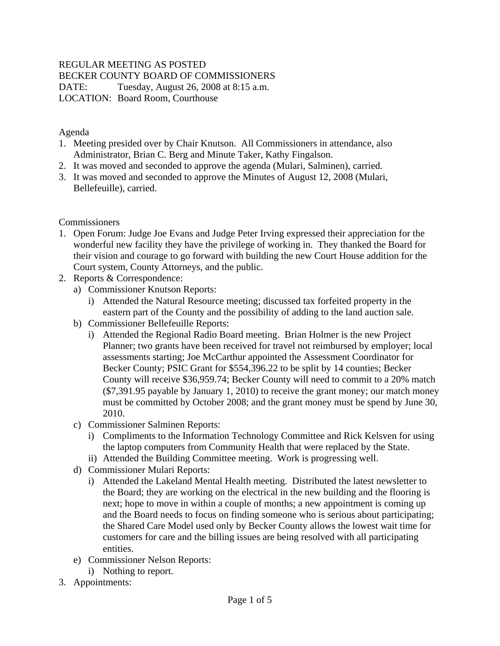## REGULAR MEETING AS POSTED

BECKER COUNTY BOARD OF COMMISSIONERS

DATE: Tuesday, August 26, 2008 at 8:15 a.m. LOCATION: Board Room, Courthouse

Agenda

- 1. Meeting presided over by Chair Knutson. All Commissioners in attendance, also Administrator, Brian C. Berg and Minute Taker, Kathy Fingalson.
- 2. It was moved and seconded to approve the agenda (Mulari, Salminen), carried.
- 3. It was moved and seconded to approve the Minutes of August 12, 2008 (Mulari, Bellefeuille), carried.

Commissioners

- 1. Open Forum: Judge Joe Evans and Judge Peter Irving expressed their appreciation for the wonderful new facility they have the privilege of working in. They thanked the Board for their vision and courage to go forward with building the new Court House addition for the Court system, County Attorneys, and the public.
- 2. Reports & Correspondence:
	- a) Commissioner Knutson Reports:
		- i) Attended the Natural Resource meeting; discussed tax forfeited property in the eastern part of the County and the possibility of adding to the land auction sale.
	- b) Commissioner Bellefeuille Reports:
		- i) Attended the Regional Radio Board meeting. Brian Holmer is the new Project Planner; two grants have been received for travel not reimbursed by employer; local assessments starting; Joe McCarthur appointed the Assessment Coordinator for Becker County; PSIC Grant for \$554,396.22 to be split by 14 counties; Becker County will receive \$36,959.74; Becker County will need to commit to a 20% match (\$7,391.95 payable by January 1, 2010) to receive the grant money; our match money must be committed by October 2008; and the grant money must be spend by June 30, 2010.
	- c) Commissioner Salminen Reports:
		- i) Compliments to the Information Technology Committee and Rick Kelsven for using the laptop computers from Community Health that were replaced by the State.
		- ii) Attended the Building Committee meeting. Work is progressing well.
	- d) Commissioner Mulari Reports:
		- i) Attended the Lakeland Mental Health meeting. Distributed the latest newsletter to the Board; they are working on the electrical in the new building and the flooring is next; hope to move in within a couple of months; a new appointment is coming up and the Board needs to focus on finding someone who is serious about participating; the Shared Care Model used only by Becker County allows the lowest wait time for customers for care and the billing issues are being resolved with all participating entities.
	- e) Commissioner Nelson Reports:
		- i) Nothing to report.
- 3. Appointments: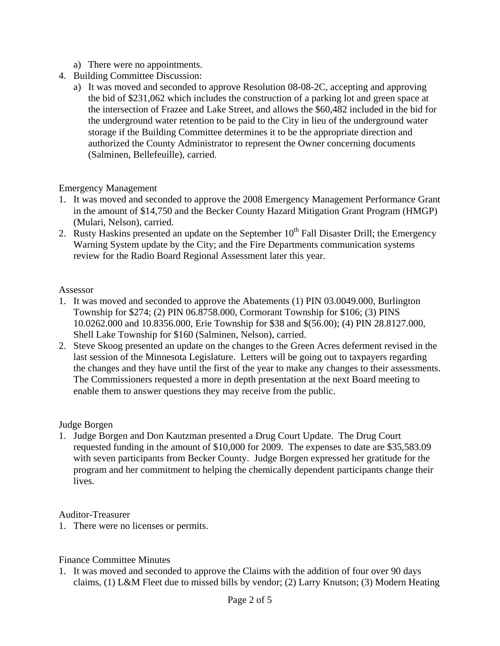- a) There were no appointments.
- 4. Building Committee Discussion:
	- a) It was moved and seconded to approve Resolution 08-08-2C, accepting and approving the bid of \$231,062 which includes the construction of a parking lot and green space at the intersection of Frazee and Lake Street, and allows the \$60,482 included in the bid for the underground water retention to be paid to the City in lieu of the underground water storage if the Building Committee determines it to be the appropriate direction and authorized the County Administrator to represent the Owner concerning documents (Salminen, Bellefeuille), carried.

Emergency Management

- 1. It was moved and seconded to approve the 2008 Emergency Management Performance Grant in the amount of \$14,750 and the Becker County Hazard Mitigation Grant Program (HMGP) (Mulari, Nelson), carried.
- 2. Rusty Haskins presented an update on the September  $10<sup>th</sup>$  Fall Disaster Drill; the Emergency Warning System update by the City; and the Fire Departments communication systems review for the Radio Board Regional Assessment later this year.

## Assessor

- 1. It was moved and seconded to approve the Abatements (1) PIN 03.0049.000, Burlington Township for \$274; (2) PIN 06.8758.000, Cormorant Township for \$106; (3) PINS 10.0262.000 and 10.8356.000, Erie Township for \$38 and \$(56.00); (4) PIN 28.8127.000, Shell Lake Township for \$160 (Salminen, Nelson), carried.
- 2. Steve Skoog presented an update on the changes to the Green Acres deferment revised in the last session of the Minnesota Legislature. Letters will be going out to taxpayers regarding the changes and they have until the first of the year to make any changes to their assessments. The Commissioners requested a more in depth presentation at the next Board meeting to enable them to answer questions they may receive from the public.

## Judge Borgen

1. Judge Borgen and Don Kautzman presented a Drug Court Update. The Drug Court requested funding in the amount of \$10,000 for 2009. The expenses to date are \$35,583.09 with seven participants from Becker County. Judge Borgen expressed her gratitude for the program and her commitment to helping the chemically dependent participants change their lives.

Auditor-Treasurer

1. There were no licenses or permits.

Finance Committee Minutes

1. It was moved and seconded to approve the Claims with the addition of four over 90 days claims, (1) L&M Fleet due to missed bills by vendor; (2) Larry Knutson; (3) Modern Heating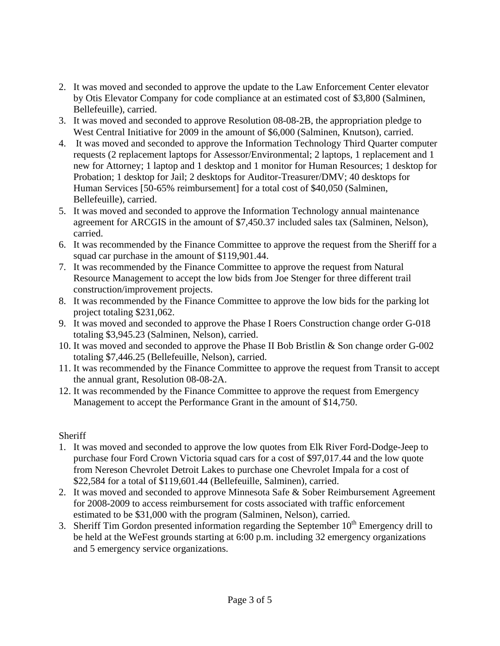- 2. It was moved and seconded to approve the update to the Law Enforcement Center elevator by Otis Elevator Company for code compliance at an estimated cost of \$3,800 (Salminen, Bellefeuille), carried.
- 3. It was moved and seconded to approve Resolution 08-08-2B, the appropriation pledge to West Central Initiative for 2009 in the amount of \$6,000 (Salminen, Knutson), carried.
- 4. It was moved and seconded to approve the Information Technology Third Quarter computer requests (2 replacement laptops for Assessor/Environmental; 2 laptops, 1 replacement and 1 new for Attorney; 1 laptop and 1 desktop and 1 monitor for Human Resources; 1 desktop for Probation; 1 desktop for Jail; 2 desktops for Auditor-Treasurer/DMV; 40 desktops for Human Services [50-65% reimbursement] for a total cost of \$40,050 (Salminen, Bellefeuille), carried.
- 5. It was moved and seconded to approve the Information Technology annual maintenance agreement for ARCGIS in the amount of \$7,450.37 included sales tax (Salminen, Nelson), carried.
- 6. It was recommended by the Finance Committee to approve the request from the Sheriff for a squad car purchase in the amount of \$119,901.44.
- 7. It was recommended by the Finance Committee to approve the request from Natural Resource Management to accept the low bids from Joe Stenger for three different trail construction/improvement projects.
- 8. It was recommended by the Finance Committee to approve the low bids for the parking lot project totaling \$231,062.
- 9. It was moved and seconded to approve the Phase I Roers Construction change order G-018 totaling \$3,945.23 (Salminen, Nelson), carried.
- 10. It was moved and seconded to approve the Phase II Bob Bristlin & Son change order G-002 totaling \$7,446.25 (Bellefeuille, Nelson), carried.
- 11. It was recommended by the Finance Committee to approve the request from Transit to accept the annual grant, Resolution 08-08-2A.
- 12. It was recommended by the Finance Committee to approve the request from Emergency Management to accept the Performance Grant in the amount of \$14,750.

## **Sheriff**

- 1. It was moved and seconded to approve the low quotes from Elk River Ford-Dodge-Jeep to purchase four Ford Crown Victoria squad cars for a cost of \$97,017.44 and the low quote from Nereson Chevrolet Detroit Lakes to purchase one Chevrolet Impala for a cost of \$22,584 for a total of \$119,601.44 (Bellefeuille, Salminen), carried.
- 2. It was moved and seconded to approve Minnesota Safe & Sober Reimbursement Agreement for 2008-2009 to access reimbursement for costs associated with traffic enforcement estimated to be \$31,000 with the program (Salminen, Nelson), carried.
- 3. Sheriff Tim Gordon presented information regarding the September  $10<sup>th</sup>$  Emergency drill to be held at the WeFest grounds starting at 6:00 p.m. including 32 emergency organizations and 5 emergency service organizations.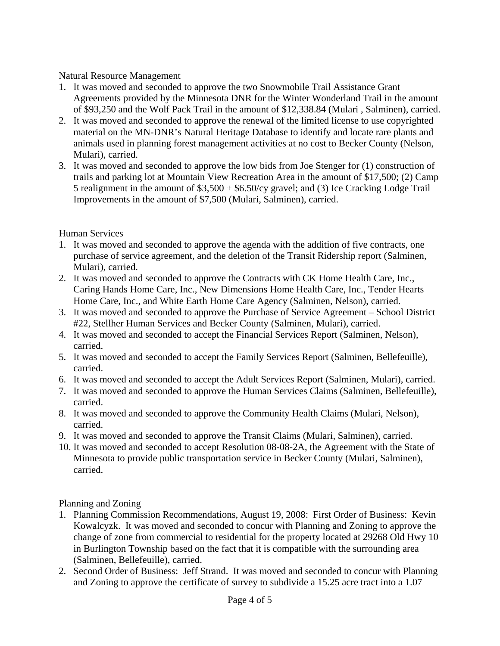Natural Resource Management

- 1. It was moved and seconded to approve the two Snowmobile Trail Assistance Grant Agreements provided by the Minnesota DNR for the Winter Wonderland Trail in the amount of \$93,250 and the Wolf Pack Trail in the amount of \$12,338.84 (Mulari , Salminen), carried.
- 2. It was moved and seconded to approve the renewal of the limited license to use copyrighted material on the MN-DNR's Natural Heritage Database to identify and locate rare plants and animals used in planning forest management activities at no cost to Becker County (Nelson, Mulari), carried.
- 3. It was moved and seconded to approve the low bids from Joe Stenger for (1) construction of trails and parking lot at Mountain View Recreation Area in the amount of \$17,500; (2) Camp 5 realignment in the amount of \$3,500 + \$6.50/cy gravel; and (3) Ice Cracking Lodge Trail Improvements in the amount of \$7,500 (Mulari, Salminen), carried.

Human Services

- 1. It was moved and seconded to approve the agenda with the addition of five contracts, one purchase of service agreement, and the deletion of the Transit Ridership report (Salminen, Mulari), carried.
- 2. It was moved and seconded to approve the Contracts with CK Home Health Care, Inc., Caring Hands Home Care, Inc., New Dimensions Home Health Care, Inc., Tender Hearts Home Care, Inc., and White Earth Home Care Agency (Salminen, Nelson), carried.
- 3. It was moved and seconded to approve the Purchase of Service Agreement School District #22, Stellher Human Services and Becker County (Salminen, Mulari), carried.
- 4. It was moved and seconded to accept the Financial Services Report (Salminen, Nelson), carried.
- 5. It was moved and seconded to accept the Family Services Report (Salminen, Bellefeuille), carried.
- 6. It was moved and seconded to accept the Adult Services Report (Salminen, Mulari), carried.
- 7. It was moved and seconded to approve the Human Services Claims (Salminen, Bellefeuille), carried.
- 8. It was moved and seconded to approve the Community Health Claims (Mulari, Nelson), carried.
- 9. It was moved and seconded to approve the Transit Claims (Mulari, Salminen), carried.
- 10. It was moved and seconded to accept Resolution 08-08-2A, the Agreement with the State of Minnesota to provide public transportation service in Becker County (Mulari, Salminen), carried.

Planning and Zoning

- 1. Planning Commission Recommendations, August 19, 2008: First Order of Business: Kevin Kowalcyzk. It was moved and seconded to concur with Planning and Zoning to approve the change of zone from commercial to residential for the property located at 29268 Old Hwy 10 in Burlington Township based on the fact that it is compatible with the surrounding area (Salminen, Bellefeuille), carried.
- 2. Second Order of Business: Jeff Strand. It was moved and seconded to concur with Planning and Zoning to approve the certificate of survey to subdivide a 15.25 acre tract into a 1.07